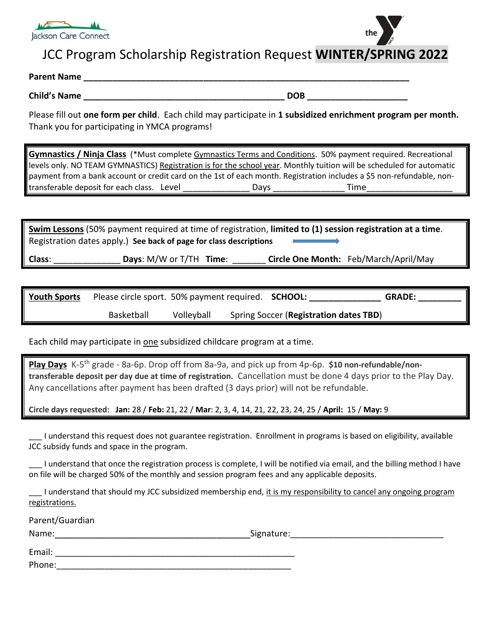

# JCC Program Scholarship Registration Request **WINTER/SPRING 2022**

## **Parent Name**

**Child's Name \_\_\_\_\_\_\_\_\_\_\_\_\_\_\_\_\_\_\_\_\_\_\_\_\_\_\_\_\_\_\_\_\_\_\_\_\_\_\_\_\_\_ DOB \_\_\_\_\_\_\_\_\_\_\_\_\_\_\_\_\_\_\_\_\_**

Please fill out **one form per child**. Each child may participate in **1 subsidized enrichment program per month.**  Thank you for participating in YMCA programs!

**Gymnastics / Ninja Class** (\*Must complete Gymnastics [Terms and Conditions.](https://ashlandymca.org/wp-content/uploads/2020/09/Gymnastics-Terms-and-Conditions-2020-21-Fillable-1.pdf) 50% payment required. Recreational levels only. NO TEAM GYMNASTICS) Registration is for the school year. Monthly tuition will be scheduled for automatic payment from a bank account or credit card on the 1st of each month. Registration includes a \$5 non-refundable, nontransferable deposit for each class. Level \_\_\_\_\_\_\_\_\_\_\_\_\_\_ Days \_\_\_\_\_\_\_\_\_\_\_\_\_\_\_ Time\_\_\_\_\_\_\_\_\_\_\_\_\_\_\_\_\_\_

**Swim Lessons** (50% payment required at time of registration, **limited to (1) session registration at a time**. Registration dates apply.) **See back of page for class descriptions**

**Class**: \_\_\_\_\_\_\_\_\_\_\_\_\_\_ **Days**: M/W or T/TH **Time**: \_\_\_\_\_\_\_ **Circle One Month:** Feb/March/April/May

| <b>Youth Sports</b> |            |            | Please circle sport. 50% payment required. <b>SCHOOL:</b> | <b>GRADE:</b> |
|---------------------|------------|------------|-----------------------------------------------------------|---------------|
|                     | Basketball | Volleyball | Spring Soccer (Registration dates TBD)                    |               |

Each child may participate in one subsidized childcare program at a time.

**Play Days** K-5 th grade - 8a-6p. Drop off from 8a-9a, and pick up from 4p-6p. **\$10 non-refundable/nontransferable deposit per day due at time of registration.** Cancellation must be done 4 days prior to the Play Day. Any cancellations after payment has been drafted (3 days prior) will not be refundable.

**Circle days requested: Jan:** 28 / **Feb:** 21, 22 / **Mar**: 2, 3, 4, 14, 21, 22, 23, 24, 25 / **April:** 15 / **May:** 9

\_\_\_ I understand this request does not guarantee registration. Enrollment in programs is based on eligibility, available JCC subsidy funds and space in the program.

\_\_\_ I understand that once the registration process is complete, I will be notified via email, and the billing method I have on file will be charged 50% of the monthly and session program fees and any applicable deposits.

I understand that should my JCC subsidized membership end, it is my responsibility to cancel any ongoing program registrations.

Parent/Guardian

Name: The contract of the contract of the contract of the contract of the contract of the contract of the contract of the contract of the contract of the contract of the contract of the contract of the contract of the cont

Email: \_\_\_\_\_\_\_\_\_\_\_\_\_\_\_\_\_\_\_\_\_\_\_\_\_\_\_\_\_\_\_\_\_\_\_\_\_\_\_\_\_\_\_\_\_\_\_\_\_\_ Phone: